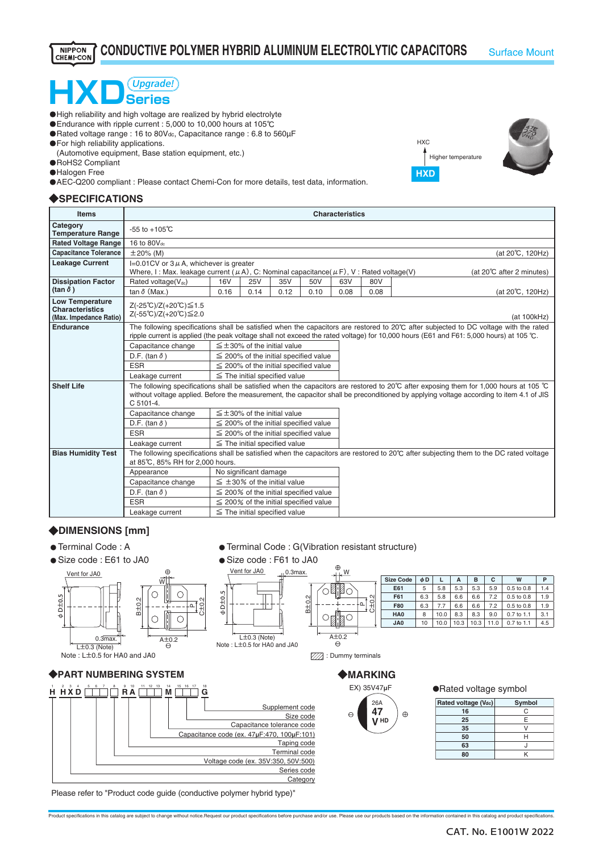### **CONDUCTIVE POLYMER HYBRID ALUMINUM ELECTROLYTIC CAPACITORS** Surface Mount **NIPPON** CHEMI-CON

# HXD<sup>(Upgrade!</sup>

- ・High reliability and high voltage are realized by hybrid electrolyte
- ・Endurance with ripple current : 5,000 to 10,000 hours at 105℃
- **O** Rated voltage range : 16 to 80V<sub>dc</sub>, Capacitance range : 6.8 to 560μF
- **O** For high reliability applications.
- (Automotive equipment, Base station equipment, etc.) ・RoHS2 Compliant
- 
- **O**Halogen Free
- ・AEC-Q200 compliant : Please contact Chemi-Con for more details, test data, information.

## ◆**SPECIFICATIONS**





| <b>Items</b>                                                               | <b>Characteristics</b>                                                                                                                                                                                                                                                          |                                            |                       |                                      |                                            |      |      |                                                                                                                                                                                                                                                                                                      |  |
|----------------------------------------------------------------------------|---------------------------------------------------------------------------------------------------------------------------------------------------------------------------------------------------------------------------------------------------------------------------------|--------------------------------------------|-----------------------|--------------------------------------|--------------------------------------------|------|------|------------------------------------------------------------------------------------------------------------------------------------------------------------------------------------------------------------------------------------------------------------------------------------------------------|--|
| Category<br><b>Temperature Range</b>                                       | $-55$ to $+105^{\circ}$ C                                                                                                                                                                                                                                                       |                                            |                       |                                      |                                            |      |      |                                                                                                                                                                                                                                                                                                      |  |
| <b>Rated Voltage Range</b>                                                 | 16 to 80V <sub>dc</sub>                                                                                                                                                                                                                                                         |                                            |                       |                                      |                                            |      |      |                                                                                                                                                                                                                                                                                                      |  |
| <b>Capacitance Tolerance</b>                                               | $±20\%$ (M)                                                                                                                                                                                                                                                                     |                                            |                       |                                      |                                            |      |      | (at 20°C, 120Hz)                                                                                                                                                                                                                                                                                     |  |
| <b>Leakage Current</b>                                                     | I=0.01CV or $3 \mu$ A, whichever is greater<br>Where, I: Max. leakage current ( $\mu$ A), C: Nominal capacitance( $\mu$ F), V: Rated voltage(V)<br>(at 20°C after 2 minutes)                                                                                                    |                                            |                       |                                      |                                            |      |      |                                                                                                                                                                                                                                                                                                      |  |
| <b>Dissipation Factor</b>                                                  | Rated voltage(Vdc)                                                                                                                                                                                                                                                              | <b>16V</b>                                 | <b>25V</b>            | 35V                                  | 50V                                        | 63V  | 80V  |                                                                                                                                                                                                                                                                                                      |  |
| $(\tan \delta)$                                                            | tan $\delta$ (Max.)                                                                                                                                                                                                                                                             | 0.16                                       | 0.14                  | 0.12                                 | 0.10                                       | 0.08 | 0.08 | (at 20℃, 120Hz)                                                                                                                                                                                                                                                                                      |  |
| <b>Low Temperature</b><br><b>Characteristics</b><br>(Max. Impedance Ratio) | Z(-25℃)/Z(+20℃)≦1.5<br>Z(-55℃)/Z(+20℃)≤2.0<br>(at 100kHz)                                                                                                                                                                                                                       |                                            |                       |                                      |                                            |      |      |                                                                                                                                                                                                                                                                                                      |  |
| <b>Endurance</b>                                                           | The following specifications shall be satisfied when the capacitors are restored to 20°C after subjected to DC voltage with the rated<br>ripple current is applied (the peak voltage shall not exceed the rated voltage) for 10,000 hours (E61 and F61: 5,000 hours) at 105 °C. |                                            |                       |                                      |                                            |      |      |                                                                                                                                                                                                                                                                                                      |  |
|                                                                            | Capacitance change                                                                                                                                                                                                                                                              |                                            |                       | $\leq \pm 30\%$ of the initial value |                                            |      |      |                                                                                                                                                                                                                                                                                                      |  |
|                                                                            | D.F. (tan $\delta$ )                                                                                                                                                                                                                                                            |                                            |                       |                                      | $\leq$ 200% of the initial specified value |      |      |                                                                                                                                                                                                                                                                                                      |  |
|                                                                            | <b>ESR</b>                                                                                                                                                                                                                                                                      | $\leq$ 200% of the initial specified value |                       |                                      |                                            |      |      |                                                                                                                                                                                                                                                                                                      |  |
|                                                                            | Leakage current                                                                                                                                                                                                                                                                 |                                            |                       | $\leq$ The initial specified value   |                                            |      |      |                                                                                                                                                                                                                                                                                                      |  |
| <b>Shelf Life</b>                                                          | C 5101-4.                                                                                                                                                                                                                                                                       |                                            |                       |                                      |                                            |      |      | The following specifications shall be satisfied when the capacitors are restored to 20 $\degree$ C after exposing them for 1,000 hours at 105 $\degree$ C<br>without voltage applied. Before the measurement, the capacitor shall be preconditioned by applying voltage according to item 4.1 of JIS |  |
|                                                                            | Capacitance change                                                                                                                                                                                                                                                              | $\leq$ ±30% of the initial value           |                       |                                      |                                            |      |      |                                                                                                                                                                                                                                                                                                      |  |
|                                                                            | D.F. (tan $\delta$ )                                                                                                                                                                                                                                                            | $\leq$ 200% of the initial specified value |                       |                                      |                                            |      |      |                                                                                                                                                                                                                                                                                                      |  |
|                                                                            | <b>ESR</b>                                                                                                                                                                                                                                                                      | $\leq$ 200% of the initial specified value |                       |                                      |                                            |      |      |                                                                                                                                                                                                                                                                                                      |  |
|                                                                            | Leakage current                                                                                                                                                                                                                                                                 | $\leq$ The initial specified value         |                       |                                      |                                            |      |      |                                                                                                                                                                                                                                                                                                      |  |
| <b>Bias Humidity Test</b>                                                  | The following specifications shall be satisfied when the capacitors are restored to 20°C after subjecting them to the DC rated voltage<br>at 85°C, 85% RH for 2,000 hours.                                                                                                      |                                            |                       |                                      |                                            |      |      |                                                                                                                                                                                                                                                                                                      |  |
|                                                                            | Appearance                                                                                                                                                                                                                                                                      |                                            | No significant damage |                                      |                                            |      |      |                                                                                                                                                                                                                                                                                                      |  |
|                                                                            | Capacitance change                                                                                                                                                                                                                                                              |                                            |                       | $\leq$ ±30% of the initial value     |                                            |      |      |                                                                                                                                                                                                                                                                                                      |  |
|                                                                            | D.F. (tan $\delta$ )                                                                                                                                                                                                                                                            |                                            |                       |                                      | $\leq$ 200% of the initial specified value |      |      |                                                                                                                                                                                                                                                                                                      |  |
|                                                                            | <b>ESR</b>                                                                                                                                                                                                                                                                      |                                            |                       |                                      | $\leq$ 200% of the initial specified value |      |      |                                                                                                                                                                                                                                                                                                      |  |
|                                                                            | Leakage current                                                                                                                                                                                                                                                                 |                                            |                       | $\leq$ The initial specified value   |                                            |      |      |                                                                                                                                                                                                                                                                                                      |  |

### ◆**DIMENSIONS [mm]**

- Terminal Code: A
- Size code : E61 to JA0





 $\overline{1+0.3}$  (Note) Note : L±0.5 for HA0 and JA0

| ● Size code: F61 to JA0       |            |                  |     |      |      |      |      |                |         |
|-------------------------------|------------|------------------|-----|------|------|------|------|----------------|---------|
| Vent for JA0<br>$II 0.3$ max. | ⊕<br>$L$ W |                  |     |      |      |      |      |                |         |
|                               |            | <b>Size Code</b> | φD  |      | A    | в    | с    | W              | P       |
|                               |            | E61              | 5   | 5.8  | 5.3  | 5.3  | 5.9  | 0.5 to 0.8     | $\cdot$ |
| $\pm 0.5$<br>Μļ               | $\sim$     | F61              | 6.3 | 5.8  | 6.6  | 6.6  | 7.2  | 0.5 to 0.8     | 1.9     |
| $rac{1}{2}$                   | 요.<br>번    | <b>F80</b>       | 6.3 | 7.7  | 6.6  | 6.6  | 7.2  | $0.5$ to $0.8$ | l.S     |
| $\triangle$                   |            | HA <sub>0</sub>  | 8   | 10.0 | 8.3  | 8.3  | 9.0  | 0.7 to 1.1     | 3.1     |
|                               |            | JA0              | 10  | 10.0 | 10.3 | 10.3 | 11.0 | 0.7 to 1.1     | 4.5     |

**777**: Dummy terminals

 $\overline{A\pm 0.2}$ 

● Terminal Code : G(Vibration resistant structure)

### ◆**MARKING**



|  | Rated voltage symbol |  |
|--|----------------------|--|
|  |                      |  |
|  |                      |  |

| Rated voltage (Vdc) | Symbol |
|---------------------|--------|
| 16                  | n      |
| 25                  | E      |
| 35                  |        |
| 50                  | н      |
| 63                  |        |
| 80                  |        |

Please refer to "Product code guide (conductive polymer hybrid type)"

Product specifications in this catalog are subject to change without notice.Request our product specifications before purchase and/or use. Please use our products based on the information contained in this catalog and prod